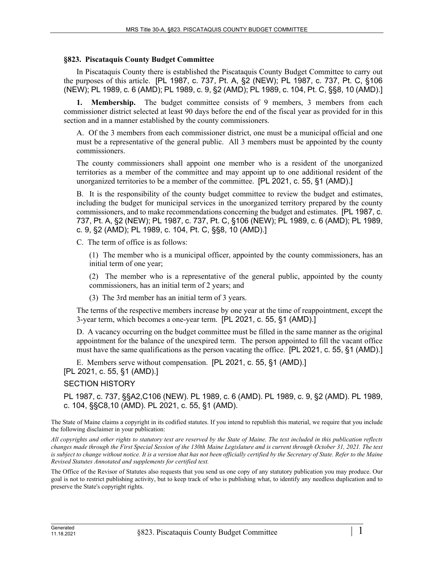## **§823. Piscataquis County Budget Committee**

In Piscataquis County there is established the Piscataquis County Budget Committee to carry out the purposes of this article. [PL 1987, c. 737, Pt. A, §2 (NEW); PL 1987, c. 737, Pt. C, §106 (NEW); PL 1989, c. 6 (AMD); PL 1989, c. 9, §2 (AMD); PL 1989, c. 104, Pt. C, §§8, 10 (AMD).]

**1. Membership.** The budget committee consists of 9 members, 3 members from each commissioner district selected at least 90 days before the end of the fiscal year as provided for in this section and in a manner established by the county commissioners.

A. Of the 3 members from each commissioner district, one must be a municipal official and one must be a representative of the general public. All 3 members must be appointed by the county commissioners.

The county commissioners shall appoint one member who is a resident of the unorganized territories as a member of the committee and may appoint up to one additional resident of the unorganized territories to be a member of the committee. [PL 2021, c. 55, §1 (AMD).]

B. It is the responsibility of the county budget committee to review the budget and estimates, including the budget for municipal services in the unorganized territory prepared by the county commissioners, and to make recommendations concerning the budget and estimates. [PL 1987, c. 737, Pt. A, §2 (NEW); PL 1987, c. 737, Pt. C, §106 (NEW); PL 1989, c. 6 (AMD); PL 1989, c. 9, §2 (AMD); PL 1989, c. 104, Pt. C, §§8, 10 (AMD).]

C. The term of office is as follows:

(1) The member who is a municipal officer, appointed by the county commissioners, has an initial term of one year;

(2) The member who is a representative of the general public, appointed by the county commissioners, has an initial term of 2 years; and

(3) The 3rd member has an initial term of 3 years.

The terms of the respective members increase by one year at the time of reappointment, except the 3-year term, which becomes a one-year term. [PL 2021, c. 55, §1 (AMD).]

D. A vacancy occurring on the budget committee must be filled in the same manner as the original appointment for the balance of the unexpired term. The person appointed to fill the vacant office must have the same qualifications as the person vacating the office. [PL 2021, c. 55, §1 (AMD).]

E. Members serve without compensation. [PL 2021, c. 55, §1 (AMD).]

[PL 2021, c. 55, §1 (AMD).]

## SECTION HISTORY

PL 1987, c. 737, §§A2,C106 (NEW). PL 1989, c. 6 (AMD). PL 1989, c. 9, §2 (AMD). PL 1989, c. 104, §§C8,10 (AMD). PL 2021, c. 55, §1 (AMD).

The State of Maine claims a copyright in its codified statutes. If you intend to republish this material, we require that you include the following disclaimer in your publication:

*All copyrights and other rights to statutory text are reserved by the State of Maine. The text included in this publication reflects changes made through the First Special Session of the 130th Maine Legislature and is current through October 31, 2021. The text*  is subject to change without notice. It is a version that has not been officially certified by the Secretary of State. Refer to the Maine *Revised Statutes Annotated and supplements for certified text.*

The Office of the Revisor of Statutes also requests that you send us one copy of any statutory publication you may produce. Our goal is not to restrict publishing activity, but to keep track of who is publishing what, to identify any needless duplication and to preserve the State's copyright rights.